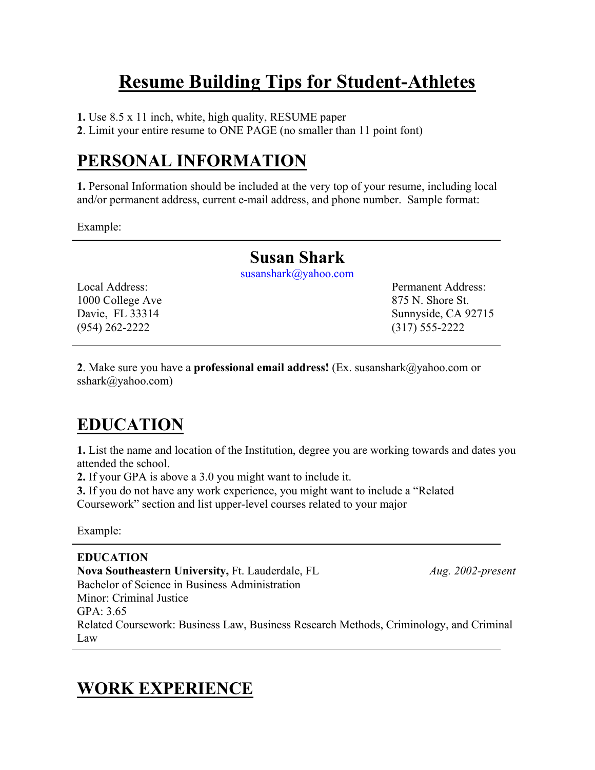# **Resume Building Tips for Student-Athletes**

**1.** Use 8.5 x 11 inch, white, high quality, RESUME paper

**2**. Limit your entire resume to ONE PAGE (no smaller than 11 point font)

# **PERSONAL INFORMATION**

**1.** Personal Information should be included at the very top of your resume, including local and/or permanent address, current e-mail address, and phone number. Sample format:

Example:

### **Susan Shark**

[susanshark@yahoo.com](mailto:anthonybrown@yahoo.com)

1000 College Ave 875 N. Shore St. (954) 262-2222 (317) 555-2222

Local Address: Permanent Address: Davie, FL 33314 Sunnyside, CA 92715

**2**. Make sure you have a **professional email address!** (Ex. susanshark@yahoo.com or sshark@yahoo.com)

# **EDUCATION**

**1.** List the name and location of the Institution, degree you are working towards and dates you attended the school.

**2.** If your GPA is above a 3.0 you might want to include it.

**3.** If you do not have any work experience, you might want to include a "Related Coursework" section and list upper-level courses related to your major

Example:

**EDUCATION Nova Southeastern University,** Ft. Lauderdale, FL *Aug. 2002-present* Bachelor of Science in Business Administration Minor: Criminal Justice GPA: 3.65 Related Coursework: Business Law, Business Research Methods, Criminology, and Criminal Law

# **WORK EXPERIENCE**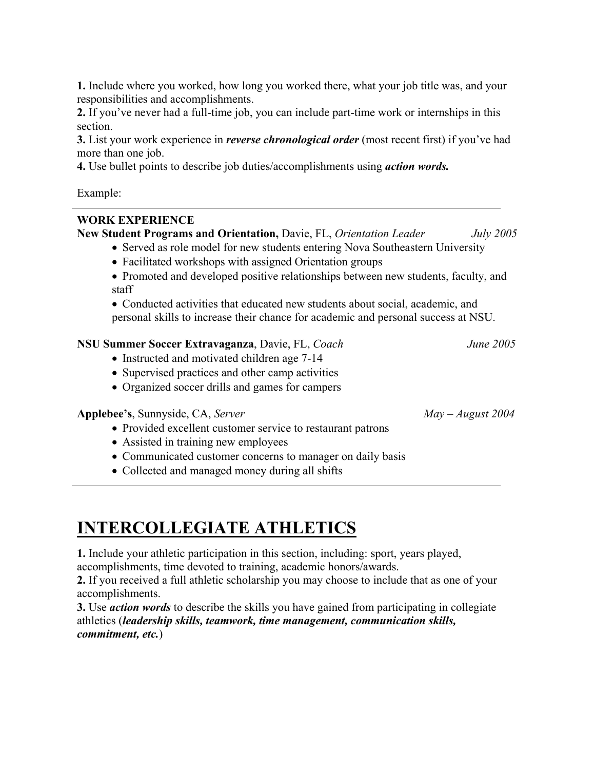**1.** Include where you worked, how long you worked there, what your job title was, and your responsibilities and accomplishments.

**2.** If you've never had a full-time job, you can include part-time work or internships in this section.

**3.** List your work experience in *reverse chronological order* (most recent first) if you've had more than one job.

**4.** Use bullet points to describe job duties/accomplishments using *action words.* 

Example:

#### **WORK EXPERIENCE**

**New Student Programs and Orientation,** Davie, FL, *Orientation Leader July 2005* 

- Served as role model for new students entering Nova Southeastern University
	- Facilitated workshops with assigned Orientation groups
	- Promoted and developed positive relationships between new students, faculty, and staff

• Conducted activities that educated new students about social, academic, and personal skills to increase their chance for academic and personal success at NSU.

#### **NSU Summer Soccer Extravaganza**, Davie, FL, *Coach June 2005*

- Instructed and motivated children age 7-14
- Supervised practices and other camp activities
- Organized soccer drills and games for campers

#### **Applebee's**, Sunnyside, CA, *Server May – August 2004*

- Provided excellent customer service to restaurant patrons
- Assisted in training new employees
- Communicated customer concerns to manager on daily basis
- Collected and managed money during all shifts

**INTERCOLLEGIATE ATHLETICS**

**1.** Include your athletic participation in this section, including: sport, years played, accomplishments, time devoted to training, academic honors/awards.

**2.** If you received a full athletic scholarship you may choose to include that as one of your accomplishments.

**3.** Use *action words* to describe the skills you have gained from participating in collegiate athletics (*leadership skills, teamwork, time management, communication skills, commitment, etc.*)